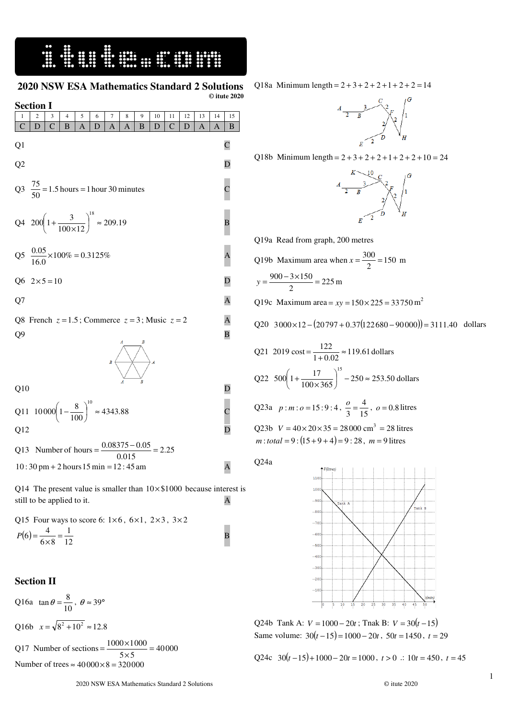## E SHIP SHIP SHIP SHIP

## **2020 NSW ESA Mathematics Standard 2 Solutions**

|                                                                                                                                           | $©$ itute $2020$        |  |  |
|-------------------------------------------------------------------------------------------------------------------------------------------|-------------------------|--|--|
| <b>Section I</b>                                                                                                                          |                         |  |  |
| 5<br>7<br>9<br>4<br>6<br>8<br>10<br>11<br>12<br>13<br>2<br>3<br>1<br>$\mathcal{C}$<br>$\mathcal{C}$                                       | 14<br>15                |  |  |
| $\mathcal{C}$<br>D<br>B<br>A<br>D<br>$\overline{A}$<br>B<br>A<br>D<br>D<br>A                                                              | A<br>B                  |  |  |
| Q <sub>1</sub>                                                                                                                            | $\mathbf C$             |  |  |
| Q <sub>2</sub>                                                                                                                            | D                       |  |  |
| Q3 $\frac{75}{50}$ = 1.5 hours = 1 hour 30 minutes                                                                                        | $\mathsf C$             |  |  |
| Q4 $200\left(1+\frac{3}{100\times12}\right)^{18} \approx 209.19$                                                                          | B                       |  |  |
| Q5 $\frac{0.05}{16.0} \times 100\% = 0.3125\%$                                                                                            | $\overline{A}$          |  |  |
| Q6 $2 \times 5 = 10$                                                                                                                      | D                       |  |  |
| Q7                                                                                                                                        | A                       |  |  |
| Q8 French $z = 1.5$ ; Commerce $z = 3$ ; Music $z = 2$                                                                                    | A                       |  |  |
| Q <sub>9</sub>                                                                                                                            | $\overline{\mathbf{B}}$ |  |  |
| $B \subset$                                                                                                                               |                         |  |  |
| Q10                                                                                                                                       | D                       |  |  |
| Q11 10000 $\left(1-\frac{8}{100}\right)^{10} \approx 4343.88$                                                                             |                         |  |  |
| Q12                                                                                                                                       |                         |  |  |
| Number of hours = $\frac{0.08375 - 0.05}{0.015} = 2.25$<br>Q13<br>$10:30 \text{ pm} + 2 \text{ hours } 15 \text{ min} = 12:45 \text{ am}$ | $\overline{A}$          |  |  |

Q14 The present value is smaller than  $10 \times $1000$  because interest is still to be applied to it. A

Q15 Four ways to score 6:  $1\times 6$ ,  $6\times 1$ ,  $2\times 3$ ,  $3\times 2$  $(6) = \frac{4}{6 \times 8} = \frac{1}{12}$ 1  $6\times 8$  $P(6) = \frac{4}{6 \times 8} = \frac{1}{12}$  B

## **Section II**

Q16a  $\tan \theta = \frac{6}{10}$  $\tan \theta = \frac{8}{10}$ ,  $\theta \approx 39^{\circ}$ Q16b  $x = \sqrt{8^2 + 10^2} \approx 12.8$  $=\frac{1000\times}{5}$ 

Q17 Number of sections =  $\frac{1000 \times 1000}{5 \times 5}$  = 40000  $\frac{1000\times1000}{5\times5}$ Number of trees  $\approx 40000 \times 8 = 320000$ 

Q18a Minimum length =  $2 + 3 + 2 + 2 + 1 + 2 + 2 = 14$ 



Q18b Minimum length =  $2 + 3 + 2 + 2 + 1 + 2 + 2 + 10 = 24$ 



Q19a Read from graph, 200 metres

Q19b Maximum area when 
$$
x = \frac{300}{2} = 150
$$
 m  
 $y = \frac{900 - 3 \times 150}{2} = 225$  m

Q19c Maximum area =  $xy = 150 \times 225 = 33750$  m<sup>2</sup>

$$
Q20 \quad 3000 \times 12 - (20797 + 0.37(122680 - 90000)) = 3111.40 \quad \text{dollars}
$$

Q21 2019 cost = 
$$
\frac{122}{1+0.02} \approx 119.61 \text{ dollars}
$$
  
Q22 500  $\left(1 + \frac{17}{100 \times 365}\right)^{15} - 250 \approx 253.50 \text{ dollars}$ 

Q23a  $p : m : o = 15 : 9 : 4, \frac{6}{3} = \frac{4}{15}$ 4  $\frac{0}{3} = \frac{4}{15}$ ,  $o = 0.8$  litres

Q23b 
$$
V = 40 \times 20 \times 35 = 28000 \text{ cm}^3 = 28 \text{ litres}
$$
  
\n*m*: total = 9: (15+9+4)=9:28, *m* = 9 litres

Q24a



Q24b Tank A:  $V = 1000 - 20t$ ; Tnak B:  $V = 30(t - 15)$ Same volume:  $30(t-15) = 1000 - 20t$ ,  $50t = 1450$ ,  $t = 29$ 

Q24c  $30(t-15)+1000-20t=1000$ ,  $t>0$  .:  $10t=450$ ,  $t=45$